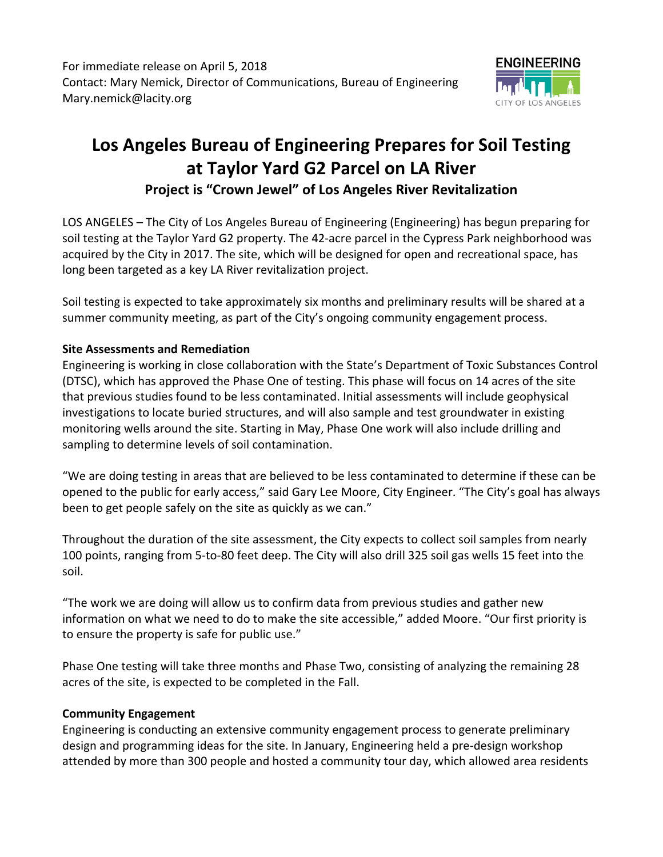For immediate release on April 5, 2018 Contact: Mary Nemick, Director of Communications, Bureau of Engineering Mary.nemick@lacity.org



## **Los Angeles Bureau of Engineering Prepares for Soil Testing at Taylor Yard G2 Parcel on LA River Project is "Crown Jewel" of Los Angeles River Revitalization**

LOS ANGELES – The City of Los Angeles Bureau of Engineering (Engineering) has begun preparing for soil testing at the Taylor Yard G2 property. The 42‐acre parcel in the Cypress Park neighborhood was acquired by the City in 2017. The site, which will be designed for open and recreational space, has long been targeted as a key LA River revitalization project.

Soil testing is expected to take approximately six months and preliminary results will be shared at a summer community meeting, as part of the City's ongoing community engagement process.

## **Site Assessments and Remediation**

Engineering is working in close collaboration with the State's Department of Toxic Substances Control (DTSC), which has approved the Phase One of testing. This phase will focus on 14 acres of the site that previous studies found to be less contaminated. Initial assessments will include geophysical investigations to locate buried structures, and will also sample and test groundwater in existing monitoring wells around the site. Starting in May, Phase One work will also include drilling and sampling to determine levels of soil contamination.

"We are doing testing in areas that are believed to be less contaminated to determine if these can be opened to the public for early access," said Gary Lee Moore, City Engineer. "The City's goal has always been to get people safely on the site as quickly as we can."

Throughout the duration of the site assessment, the City expects to collect soil samples from nearly 100 points, ranging from 5‐to‐80 feet deep. The City will also drill 325 soil gas wells 15 feet into the soil.

"The work we are doing will allow us to confirm data from previous studies and gather new information on what we need to do to make the site accessible," added Moore. "Our first priority is to ensure the property is safe for public use."

Phase One testing will take three months and Phase Two, consisting of analyzing the remaining 28 acres of the site, is expected to be completed in the Fall.

## **Community Engagement**

Engineering is conducting an extensive community engagement process to generate preliminary design and programming ideas for the site. In January, Engineering held a pre‐design workshop attended by more than 300 people and hosted a community tour day, which allowed area residents